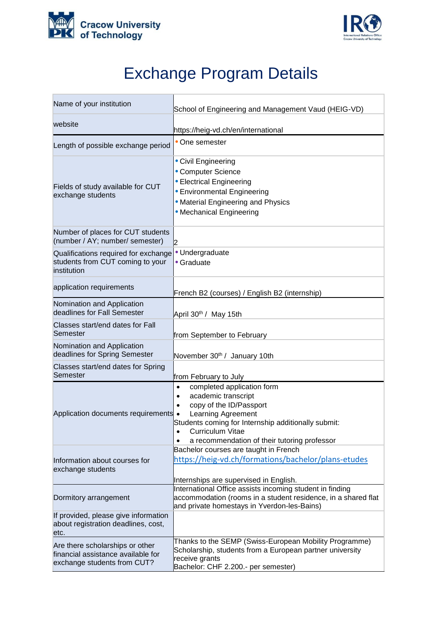



## Exchange Program Details

| Name of your institution                                                                             | School of Engineering and Management Vaud (HEIG-VD)                                                                                                                                                                                                     |
|------------------------------------------------------------------------------------------------------|---------------------------------------------------------------------------------------------------------------------------------------------------------------------------------------------------------------------------------------------------------|
| website                                                                                              | https://heig-vd.ch/en/international                                                                                                                                                                                                                     |
| Length of possible exchange period                                                                   | • One semester                                                                                                                                                                                                                                          |
| Fields of study available for CUT<br>exchange students                                               | • Civil Engineering<br>• Computer Science<br>• Electrical Engineering<br>• Environmental Engineering<br>• Material Engineering and Physics<br>• Mechanical Engineering                                                                                  |
| Number of places for CUT students<br>(number / AY; number/ semester)                                 | $\mathsf{D}$                                                                                                                                                                                                                                            |
| Qualifications required for exchange<br>students from CUT coming to your<br>institution              | · Undergraduate<br>• Graduate                                                                                                                                                                                                                           |
| application requirements                                                                             | French B2 (courses) / English B2 (internship)                                                                                                                                                                                                           |
| Nomination and Application<br>deadlines for Fall Semester                                            | April 30 <sup>th</sup> / May 15th                                                                                                                                                                                                                       |
| Classes start/end dates for Fall<br>Semester                                                         | from September to February                                                                                                                                                                                                                              |
| Nomination and Application<br>deadlines for Spring Semester                                          | November 30th / January 10th                                                                                                                                                                                                                            |
| Classes start/end dates for Spring<br>Semester                                                       | from February to July                                                                                                                                                                                                                                   |
| Application documents requirements .                                                                 | completed application form<br>$\bullet$<br>academic transcript<br>$\bullet$<br>copy of the ID/Passport<br>Learning Agreement<br>Students coming for Internship additionally submit:<br>Curriculum Vitae<br>a recommendation of their tutoring professor |
| Information about courses for<br>exchange students                                                   | Bachelor courses are taught in French<br>https://heig-vd.ch/formations/bachelor/plans-etudes<br>Internships are supervised in English.                                                                                                                  |
| Dormitory arrangement                                                                                | International Office assists incoming student in finding<br>accommodation (rooms in a student residence, in a shared flat<br>and private homestays in Yverdon-les-Bains)                                                                                |
| If provided, please give information<br>about registration deadlines, cost,<br>etc.                  |                                                                                                                                                                                                                                                         |
| Are there scholarships or other<br>financial assistance available for<br>exchange students from CUT? | Thanks to the SEMP (Swiss-European Mobility Programme)<br>Scholarship, students from a European partner university<br>receive grants<br>Bachelor: CHF 2.200.- per semester)                                                                             |